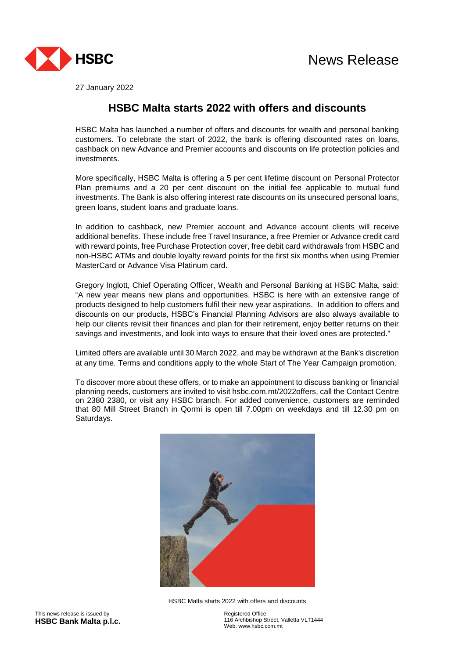



27 January 2022

## **HSBC Malta starts 2022 with offers and discounts**

HSBC Malta has launched a number of offers and discounts for wealth and personal banking customers. To celebrate the start of 2022, the bank is offering discounted rates on loans, cashback on new Advance and Premier accounts and discounts on life protection policies and investments.

More specifically, HSBC Malta is offering a 5 per cent lifetime discount on Personal Protector Plan premiums and a 20 per cent discount on the initial fee applicable to mutual fund investments. The Bank is also offering interest rate discounts on its unsecured personal loans, green loans, student loans and graduate loans.

In addition to cashback, new Premier account and Advance account clients will receive additional benefits. These include free Travel Insurance, a free Premier or Advance credit card with reward points, free Purchase Protection cover, free debit card withdrawals from HSBC and non-HSBC ATMs and double loyalty reward points for the first six months when using Premier MasterCard or Advance Visa Platinum card.

Gregory Inglott, Chief Operating Officer, Wealth and Personal Banking at HSBC Malta, said: "A new year means new plans and opportunities. HSBC is here with an extensive range of products designed to help customers fulfil their new year aspirations. In addition to offers and discounts on our products, HSBC's Financial Planning Advisors are also always available to help our clients revisit their finances and plan for their retirement, enjoy better returns on their savings and investments, and look into ways to ensure that their loved ones are protected."

Limited offers are available until 30 March 2022, and may be withdrawn at the Bank's discretion at any time. Terms and conditions apply to the whole Start of The Year Campaign promotion.

To discover more about these offers, or to make an appointment to discuss banking or financial planning needs, customers are invited to visit hsbc.com.mt/2022offers, call the Contact Centre on 2380 2380, or visit any HSBC branch. For added convenience, customers are reminded that 80 Mill Street Branch in Qormi is open till 7.00pm on weekdays and till 12.30 pm on Saturdays.



HSBC Malta starts 2022 with offers and discounts

Registered Office: 116 Archbishop Street, Valletta VLT1444 Web: www.hsbc.com.mt